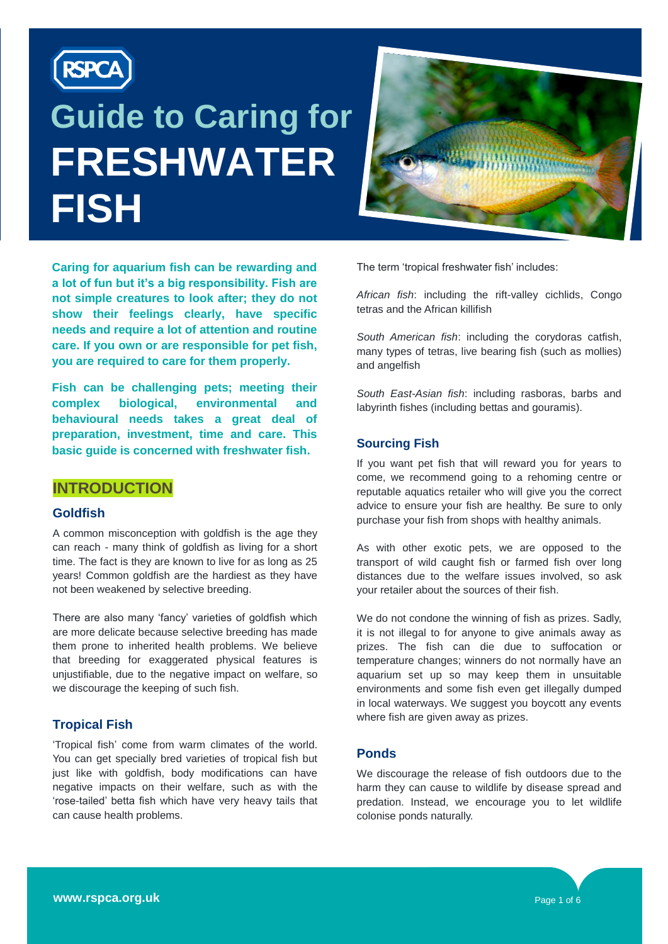

# **Guide to Caring for FRESHWATER FISH**



**Caring for aquarium fish can be rewarding and a lot of fun but it's a big responsibility. Fish are not simple creatures to look after; they do not show their feelings clearly, have specific needs and require a lot of attention and routine care. If you own or are responsible for pet fish, you are required to care for them properly.**

**Fish can be challenging pets; meeting their complex biological, environmental and behavioural needs takes a great deal of preparation, investment, time and care. This basic guide is concerned with freshwater fish.**

#### **INTRODUCTION**

#### **Goldfish**

A common misconception with goldfish is the age they can reach - many think of goldfish as living for a short time. The fact is they are known to live for as long as 25 years! Common goldfish are the hardiest as they have not been weakened by selective breeding.

There are also many 'fancy' varieties of goldfish which are more delicate because selective breeding has made them prone to inherited health problems. We believe that breeding for exaggerated physical features is unjustifiable, due to the negative impact on welfare, so we discourage the keeping of such fish.

#### **Tropical Fish**

'Tropical fish' come from warm climates of the world. You can get specially bred varieties of tropical fish but just like with goldfish, body modifications can have negative impacts on their welfare, such as with the 'rose-tailed' betta fish which have very heavy tails that can cause health problems.

The term 'tropical freshwater fish' includes:

*African fish*: including the rift-valley cichlids, Congo tetras and the African killifish

*South American fish*: including the corydoras catfish, many types of tetras, live bearing fish (such as mollies) and angelfish

*South East-Asian fish*: including rasboras, barbs and labyrinth fishes (including bettas and gouramis).

#### **Sourcing Fish**

If you want pet fish that will reward you for years to come, we recommend going to a rehoming centre or reputable aquatics retailer who will give you the correct advice to ensure your fish are healthy. Be sure to only purchase your fish from shops with healthy animals.

As with other exotic pets, we are opposed to the transport of wild caught fish or farmed fish over long distances due to the welfare issues involved, so ask your retailer about the sources of their fish.

We do not condone the winning of fish as prizes. Sadly, it is not illegal to for anyone to give animals away as prizes. The fish can die due to suffocation or temperature changes; winners do not normally have an aquarium set up so may keep them in unsuitable environments and some fish even get illegally dumped in local waterways. We suggest you boycott any events where fish are given away as prizes.

#### **Ponds**

We discourage the release of fish outdoors due to the harm they can cause to wildlife by disease spread and predation. Instead, we encourage you to let wildlife colonise ponds naturally.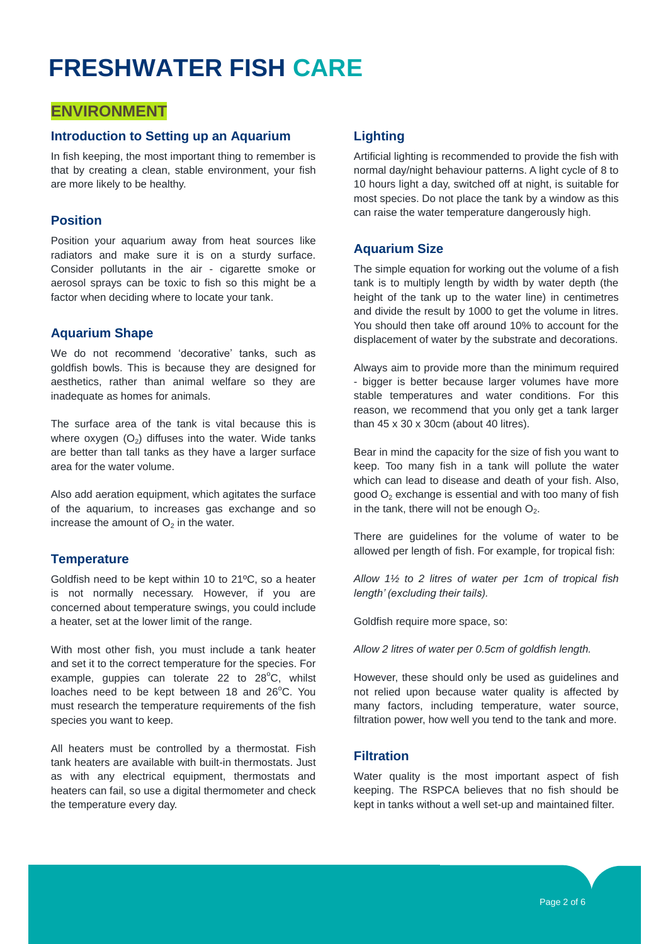### **ENVIRONMENT**

#### **Introduction to Setting up an Aquarium**

**CARE ARE AT A CHARGE A** CHEAD, SEE AND THE MODEL IN A CHEAP OF THE MODEL OF THE MODEL OF THE MODEL OF THE MODEL OF THE MODEL OF THE MODEL OF THE MODEL OF THE MODEL OF THE MODEL OF THE MODEL OF THE MODEL OF THE MODEL OF TH In fish keeping, the most important thing to remember is that by creating a clean, stable environment, your fish

#### **Position**

Position your aquarium away from heat sources like radiators and make sure it is on a sturdy surface. Consider pollutants in the air - cigarette smoke or aerosol sprays can be toxic to fish so this might be a factor when deciding where to locate your tank.

#### **Aquarium Shape**

We do not recommend 'decorative' tanks, such as goldfish bowls. This is because they are designed for aesthetics, rather than animal welfare so they are inadequate as homes for animals.

The surface area of the tank is vital because this is where oxygen  $(O_2)$  diffuses into the water. Wide tanks are better than tall tanks as they have a larger surface area for the water volume.

Also add aeration equipment, which agitates the surface of the aquarium, to increases gas exchange and so increase the amount of  $O<sub>2</sub>$  in the water.

#### **Temperature**

Goldfish need to be kept within 10 to 21ºC, so a heater is not normally necessary. However, if you are concerned about temperature swings, you could include a heater, set at the lower limit of the range.

With most other fish, you must include a tank heater and set it to the correct temperature for the species. For example, guppies can tolerate 22 to  $28^{\circ}$ C, whilst loaches need to be kept between 18 and 26°C. You must research the temperature requirements of the fish species you want to keep.

All heaters must be controlled by a thermostat. Fish tank heaters are available with built-in thermostats. Just as with any electrical equipment, thermostats and heaters can fail, so use a digital thermometer and check the temperature every day.

#### **Lighting**

Artificial lighting is recommended to provide the fish with normal day/night behaviour patterns. A light cycle of 8 to 10 hours light a day, switched off at night, is suitable for most species. Do not place the tank by a window as this can raise the water temperature dangerously high.

#### **Aquarium Size**

The simple equation for working out the volume of a fish tank is to multiply length by width by water depth (the height of the tank up to the water line) in centimetres and divide the result by 1000 to get the volume in litres. You should then take off around 10% to account for the displacement of water by the substrate and decorations.

Always aim to provide more than the minimum required - bigger is better because larger volumes have more stable temperatures and water conditions. For this reason, we recommend that you only get a tank larger than 45 x 30 x 30cm (about 40 litres).

Bear in mind the capacity for the size of fish you want to keep. Too many fish in a tank will pollute the water which can lead to disease and death of your fish. Also, good  $O<sub>2</sub>$  exchange is essential and with too many of fish in the tank, there will not be enough  $O<sub>2</sub>$ .

There are guidelines for the volume of water to be allowed per length of fish. For example, for tropical fish:

*Allow 1½ to 2 litres of water per 1cm of tropical fish length' (excluding their tails).*

Goldfish require more space, so:

*Allow 2 litres of water per 0.5cm of goldfish length.*

However, these should only be used as guidelines and not relied upon because water quality is affected by many factors, including temperature, water source, filtration power, how well you tend to the tank and more.

#### **Filtration**

Water quality is the most important aspect of fish keeping. The RSPCA believes that no fish should be kept in tanks without a well set-up and maintained filter.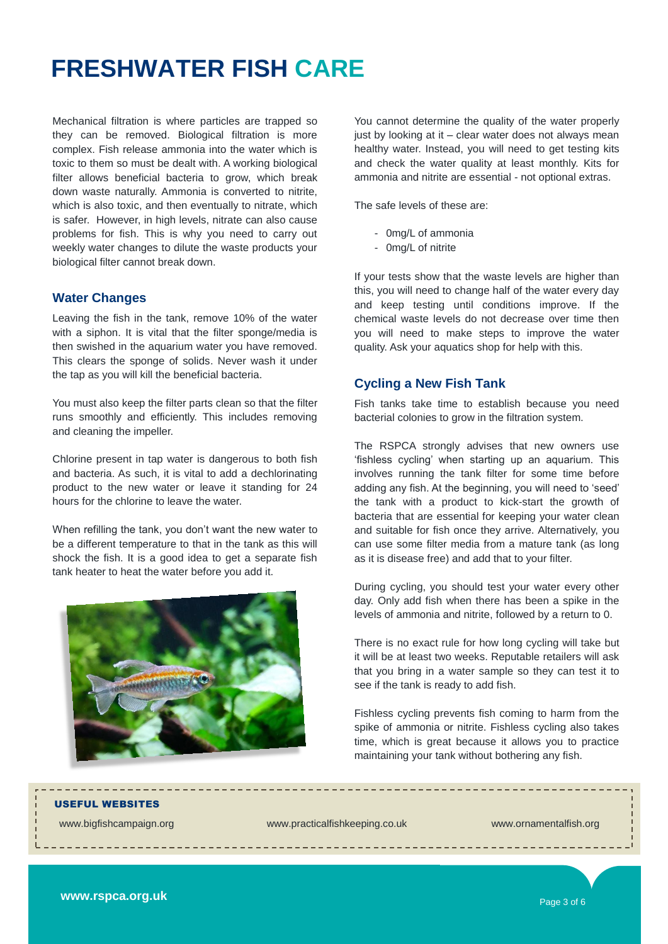Mechanical filtration is where particles are trapped so they can be removed. Biological filtration is more complex. Fish release ammonia into the water which is toxic to them so must be dealt with. A working biological filter allows beneficial bacteria to grow, which break down waste naturally. Ammonia is converted to nitrite, which is also toxic, and then eventually to nitrate, which is safer. However, in high levels, nitrate can also cause problems for fish. This is why you need to carry out weekly water changes to dilute the waste products your biological filter cannot break down.

#### **Water Changes**

Leaving the fish in the tank, remove 10% of the water with a siphon. It is vital that the filter sponge/media is then swished in the aquarium water you have removed. This clears the sponge of solids. Never wash it under the tap as you will kill the beneficial bacteria.

You must also keep the filter parts clean so that the filter runs smoothly and efficiently. This includes removing and cleaning the impeller.

Chlorine present in tap water is dangerous to both fish and bacteria. As such, it is vital to add a dechlorinating product to the new water or leave it standing for 24 hours for the chlorine to leave the water.

When refilling the tank, you don't want the new water to be a different temperature to that in the tank as this will shock the fish. It is a good idea to get a separate fish tank heater to heat the water before you add it.



You cannot determine the quality of the water properly just by looking at it – clear water does not always mean healthy water. Instead, you will need to get testing kits and check the water quality at least monthly. Kits for ammonia and nitrite are essential - not optional extras.

The safe levels of these are:

- 0mg/L of ammonia
- 0mg/L of nitrite

If your tests show that the waste levels are higher than this, you will need to change half of the water every day and keep testing until conditions improve. If the chemical waste levels do not decrease over time then you will need to make steps to improve the water quality. Ask your aquatics shop for help with this.

#### **Cycling a New Fish Tank**

Fish tanks take time to establish because you need bacterial colonies to grow in the filtration system.

The RSPCA strongly advises that new owners use 'fishless cycling' when starting up an aquarium. This involves running the tank filter for some time before adding any fish. At the beginning, you will need to 'seed' the tank with a product to kick-start the growth of bacteria that are essential for keeping your water clean and suitable for fish once they arrive. Alternatively, you can use some filter media from a mature tank (as long as it is disease free) and add that to your filter.

During cycling, you should test your water every other day. Only add fish when there has been a spike in the levels of ammonia and nitrite, followed by a return to 0.

There is no exact rule for how long cycling will take but it will be at least two weeks. Reputable retailers will ask that you bring in a water sample so they can test it to see if the tank is ready to add fish.

Fishless cycling prevents fish coming to harm from the spike of ammonia or nitrite. Fishless cycling also takes time, which is great because it allows you to practice maintaining your tank without bothering any fish.

\_\_\_\_\_\_\_\_\_\_\_\_\_\_\_\_\_\_\_\_\_\_\_\_\_\_\_\_\_

USEFUL WEBSITES

[www.bigfishcampaign.org](http://www.bigfishcampaign.or/) [www.practicalfishkeeping.co.uk](http://www.practicalfishkeeping.co.uk/) [www.ornamentalfish.org](http://www.ornamentalfish.org/fish-keeper/useful-information)

**www.rspca.org.uk**

Page 3 of 6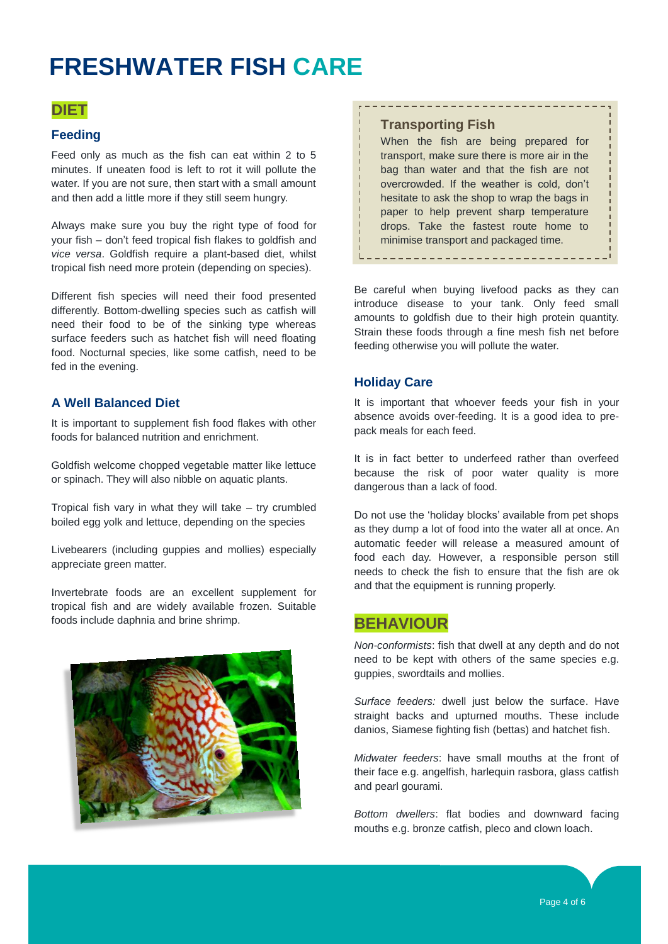### **DIET**

#### **Feeding**

Feed only as much as the fish can eat within 2 to 5 minutes. If uneaten food is left to rot it will pollute the water. If you are not sure, then start with a small amount and then add a little more if they still seem hungry.

Always make sure you buy the right type of food for your fish – don't feed tropical fish flakes to goldfish and *vice versa*. Goldfish require a plant-based diet, whilst tropical fish need more protein (depending on species).

Different fish species will need their food presented differently. Bottom-dwelling species such as catfish will need their food to be of the sinking type whereas surface feeders such as hatchet fish will need floating food. Nocturnal species, like some catfish, need to be fed in the evening.

#### **A Well Balanced Diet**

It is important to supplement fish food flakes with other foods for balanced nutrition and enrichment.

Goldfish welcome chopped vegetable matter like lettuce or spinach. They will also nibble on aquatic plants.

Tropical fish vary in what they will take – try crumbled boiled egg yolk and lettuce, depending on the species

Livebearers (including guppies and mollies) especially appreciate green matter.

Invertebrate foods are an excellent supplement for tropical fish and are widely available frozen. Suitable foods include daphnia and brine shrimp.



#### **Transporting Fish**

When the fish are being prepared for transport, make sure there is more air in the bag than water and that the fish are not overcrowded. If the weather is cold, don't hesitate to ask the shop to wrap the bags in paper to help prevent sharp temperature drops. Take the fastest route home to minimise transport and packaged time.

---------------------------

--------------------------------

Be careful when buying livefood packs as they can introduce disease to your tank. Only feed small amounts to goldfish due to their high protein quantity. Strain these foods through a fine mesh fish net before feeding otherwise you will pollute the water.

#### **Holiday Care**

It is important that whoever feeds your fish in your absence avoids over-feeding. It is a good idea to prepack meals for each feed.

It is in fact better to underfeed rather than overfeed because the risk of poor water quality is more dangerous than a lack of food.

Do not use the 'holiday blocks' available from pet shops as they dump a lot of food into the water all at once. An automatic feeder will release a measured amount of food each day. However, a responsible person still needs to check the fish to ensure that the fish are ok and that the equipment is running properly.

#### **BEHAVIOUR**

*Non-conformists*: fish that dwell at any depth and do not need to be kept with others of the same species e.g. guppies, swordtails and mollies.

*Surface feeders:* dwell just below the surface. Have straight backs and upturned mouths. These include danios, Siamese fighting fish (bettas) and hatchet fish.

*Midwater feeders*: have small mouths at the front of their face e.g. angelfish, harlequin rasbora, glass catfish and pearl gourami.

*Bottom dwellers*: flat bodies and downward facing mouths e.g. bronze catfish, pleco and clown loach.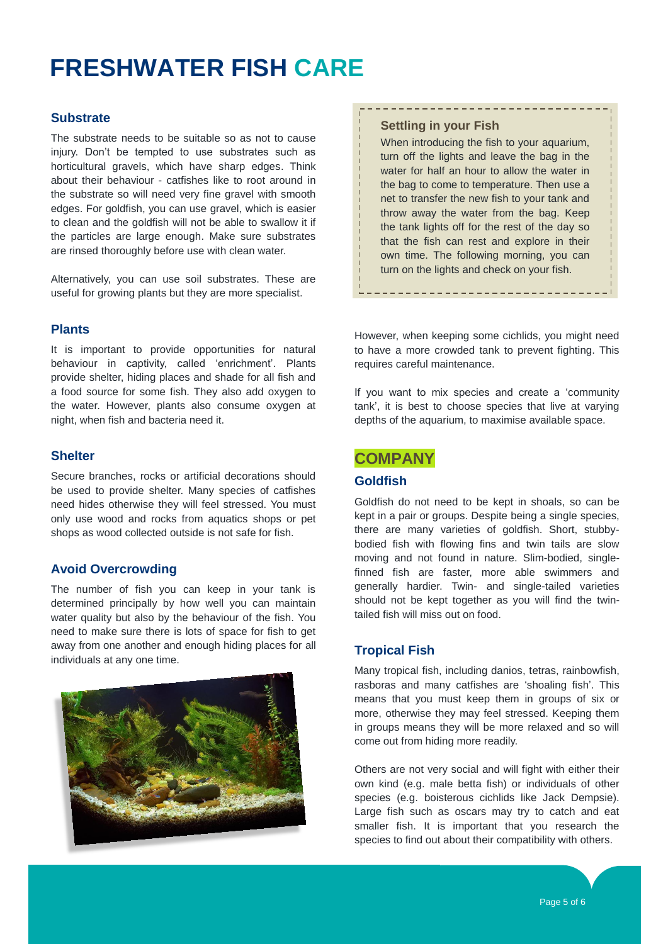#### **Substrate**

The substrate needs to be suitable so as not to cause injury. Don't be tempted to use substrates such as horticultural gravels, which have sharp edges. Think about their behaviour - catfishes like to root around in the substrate so will need very fine gravel with smooth edges. For goldfish, you can use gravel, which is easier to clean and the goldfish will not be able to swallow it if the particles are large enough. Make sure substrates are rinsed thoroughly before use with clean water.

Alternatively, you can use soil substrates. These are useful for growing plants but they are more specialist.

#### **Plants**

It is important to provide opportunities for natural behaviour in captivity, called 'enrichment'. Plants provide shelter, hiding places and shade for all fish and a food source for some fish. They also add oxygen to the water. However, plants also consume oxygen at night, when fish and bacteria need it.

#### **Shelter**

Secure branches, rocks or artificial decorations should be used to provide shelter. Many species of catfishes need hides otherwise they will feel stressed. You must only use wood and rocks from aquatics shops or pet shops as wood collected outside is not safe for fish.

#### **Avoid Overcrowding**

The number of fish you can keep in your tank is determined principally by how well you can maintain water quality but also by the behaviour of the fish. You need to make sure there is lots of space for fish to get away from one another and enough hiding places for all individuals at any one time.



#### **Settling in your Fish**

When introducing the fish to your aquarium, turn off the lights and leave the bag in the water for half an hour to allow the water in the bag to come to temperature. Then use a net to transfer the new fish to your tank and throw away the water from the bag. Keep the tank lights off for the rest of the day so that the fish can rest and explore in their own time. The following morning, you can turn on the lights and check on your fish.

--------------------

However, when keeping some cichlids, you might need to have a more crowded tank to prevent fighting. This requires careful maintenance.

If you want to mix species and create a 'community tank', it is best to choose species that live at varying depths of the aquarium, to maximise available space.

### **COMPANY**

#### **Goldfish**

Goldfish do not need to be kept in shoals, so can be kept in a pair or groups. Despite being a single species, there are many varieties of goldfish. Short, stubbybodied fish with flowing fins and twin tails are slow moving and not found in nature. Slim-bodied, singlefinned fish are faster, more able swimmers and generally hardier. Twin- and single-tailed varieties should not be kept together as you will find the twintailed fish will miss out on food.

#### **Tropical Fish**

Many tropical fish, including danios, tetras, rainbowfish, rasboras and many catfishes are 'shoaling fish'. This means that you must keep them in groups of six or more, otherwise they may feel stressed. Keeping them in groups means they will be more relaxed and so will come out from hiding more readily.

Others are not very social and will fight with either their own kind (e.g. male betta fish) or individuals of other species (e.g. boisterous cichlids like Jack Dempsie). Large fish such as oscars may try to catch and eat smaller fish. It is important that you research the species to find out about their compatibility with others.